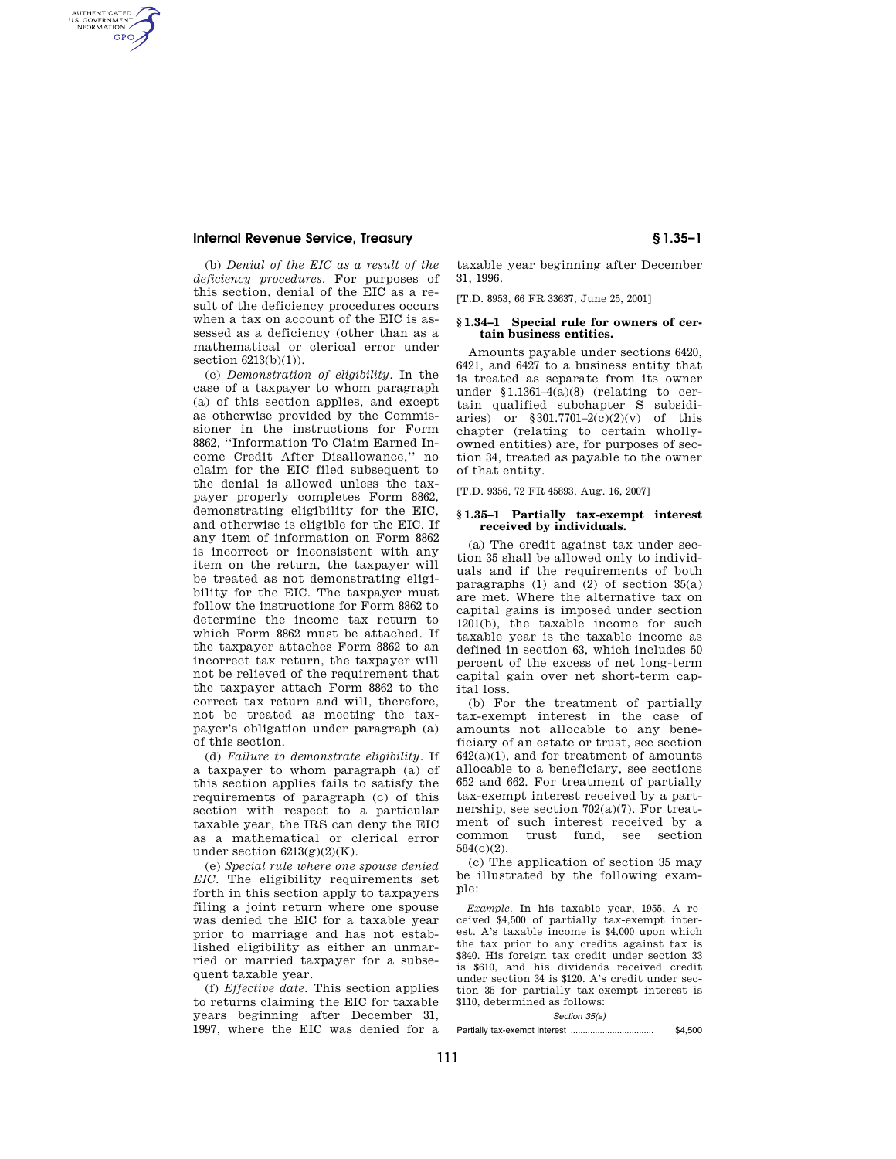# **Internal Revenue Service, Treasury § 1.35–1**

AUTHENTICATED<br>U.S. GOVERNMENT<br>INFORMATION **GPO** 

> (b) *Denial of the EIC as a result of the deficiency procedures.* For purposes of this section, denial of the EIC as a result of the deficiency procedures occurs when a tax on account of the EIC is assessed as a deficiency (other than as a mathematical or clerical error under section 6213(b)(1)).

(c) *Demonstration of eligibility.* In the case of a taxpayer to whom paragraph (a) of this section applies, and except as otherwise provided by the Commissioner in the instructions for Form 8862, ''Information To Claim Earned Income Credit After Disallowance,'' no claim for the EIC filed subsequent to the denial is allowed unless the taxpayer properly completes Form 8862, demonstrating eligibility for the EIC, and otherwise is eligible for the EIC. If any item of information on Form 8862 is incorrect or inconsistent with any item on the return, the taxpayer will be treated as not demonstrating eligibility for the EIC. The taxpayer must follow the instructions for Form 8862 to determine the income tax return to which Form 8862 must be attached. If the taxpayer attaches Form 8862 to an incorrect tax return, the taxpayer will not be relieved of the requirement that the taxpayer attach Form 8862 to the correct tax return and will, therefore, not be treated as meeting the taxpayer's obligation under paragraph (a) of this section.

(d) *Failure to demonstrate eligibility.* If a taxpayer to whom paragraph (a) of this section applies fails to satisfy the requirements of paragraph (c) of this section with respect to a particular taxable year, the IRS can deny the EIC as a mathematical or clerical error under section  $6213(g)(2)(K)$ .

(e) *Special rule where one spouse denied EIC.* The eligibility requirements set forth in this section apply to taxpayers filing a joint return where one spouse was denied the EIC for a taxable year prior to marriage and has not established eligibility as either an unmarried or married taxpayer for a subsequent taxable year.

(f) *Effective date.* This section applies to returns claiming the EIC for taxable years beginning after December 31, 1997, where the EIC was denied for a

taxable year beginning after December 31, 1996.

[T.D. 8953, 66 FR 33637, June 25, 2001]

## **§ 1.34–1 Special rule for owners of certain business entities.**

Amounts payable under sections 6420, 6421, and 6427 to a business entity that is treated as separate from its owner under §1.1361–4(a)(8) (relating to certain qualified subchapter S subsidiaries) or  $$301.7701-2(c)(2)(v)$  of this chapter (relating to certain whollyowned entities) are, for purposes of section 34, treated as payable to the owner of that entity.

[T.D. 9356, 72 FR 45893, Aug. 16, 2007]

## **§ 1.35–1 Partially tax-exempt interest received by individuals.**

(a) The credit against tax under section 35 shall be allowed only to individuals and if the requirements of both paragraphs  $(1)$  and  $(2)$  of section  $35(a)$ are met. Where the alternative tax on capital gains is imposed under section 1201(b), the taxable income for such taxable year is the taxable income as defined in section 63, which includes 50 percent of the excess of net long-term capital gain over net short-term capital loss.

(b) For the treatment of partially tax-exempt interest in the case of amounts not allocable to any beneficiary of an estate or trust, see section  $642(a)(1)$ , and for treatment of amounts allocable to a beneficiary, see sections 652 and 662. For treatment of partially tax-exempt interest received by a partnership, see section  $702(a)(7)$ . For treatment of such interest received by a common trust fund, see section 584(c)(2).

(c) The application of section 35 may be illustrated by the following example:

*Example.* In his taxable year, 1955, A received \$4,500 of partially tax-exempt interest. A's taxable income is \$4,000 upon which the tax prior to any credits against tax is \$840. His foreign tax credit under section 33 is \$610, and his dividends received credit under section 34 is \$120. A's credit under section 35 for partially tax-exempt interest is \$110, determined as follows:

*Section 35(a)*  Partially tax-exempt interest .................................. \$4,500